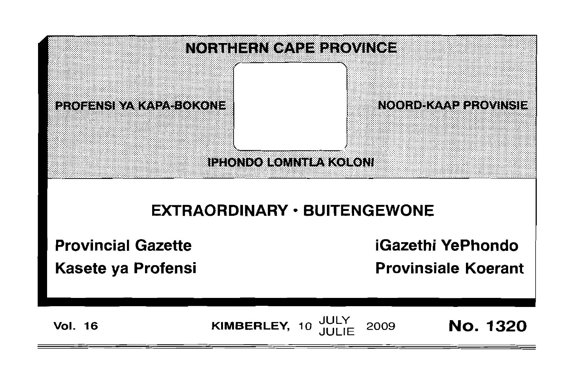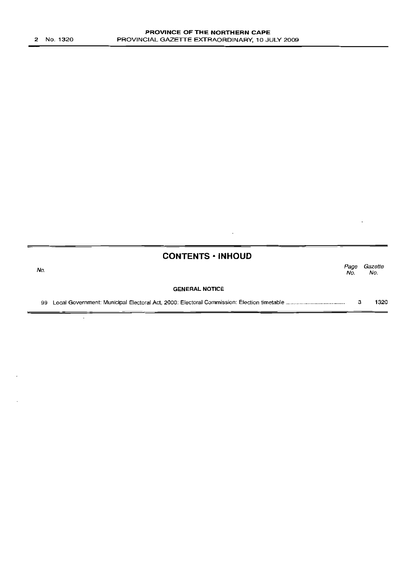No.

 $\overline{\phantom{a}}$ 

|     | <b>CONTENTS · INHOUD</b> |             |                |
|-----|--------------------------|-------------|----------------|
| lo. |                          | Page<br>No. | Gazette<br>No. |
|     | <b>GENERAL NOTICE</b>    |             |                |
|     |                          |             | 1320           |

 $\hat{\boldsymbol{\theta}}$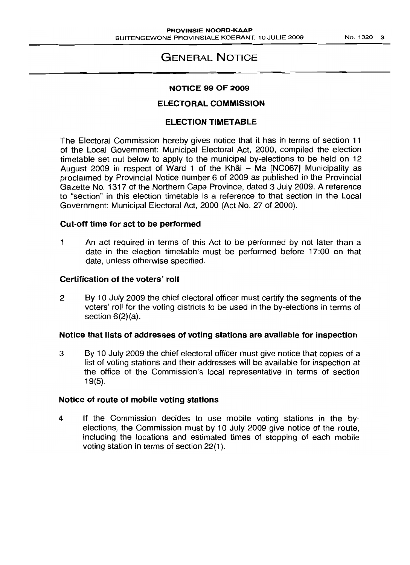# GENERAL NOTICE

# NOTICE 99 OF 2009

# ELECTORAL COMMISSION

# ELECTION TIMETABLE

The Electoral Commission hereby gives notice that it has in terms of section 11 of the Local Government: Municipal Electoral Act, 2000, compiled the election timetable set out below to apply to the municipal by-elections to be held on 12 August 2009 in respect of Ward 1 of the Khâi - Ma [NC067] Municipality as proclaimed by Provincial Notice number 6 of 2009 as published in the Provincial Gazette No. 1317 of the Northern Cape Province, dated 3 July 2009. A reference to "section" in this election timetable is a reference to that section in the Local Government: Municipal Electoral Act, 2000 (Act No. 27 of 2000).

## Cut-off time for act to be performed

1 An act required in terms of this Act to be performed by not later than a date in the election timetable must be performed before 17:00 on that date, unless otherwise specified.

## Certification of the voters' roll

2 By 10 JUly 2009 the chief electoral officer must certify the segments of the voters' roll for the voting districts to be used in the by-elections in terms of section 6(2)(a).

#### Notice that lists of addresses of voting stations are available for inspection

3 By 10 July 2009 the chief electoral officer must give notice that copies of a list of voting stations and their addresses will be available for inspection at the office of the Commission's local representative in terms of section 19(5).

#### Notice of route of mobile voting stations

4 If the Commission decides to use mobile voting stations in the byelections, the Commission must by 10 July 2009 give notice of the route, including the locations and estimated times of stopping of each mobile voting station in terms of section 22(1).